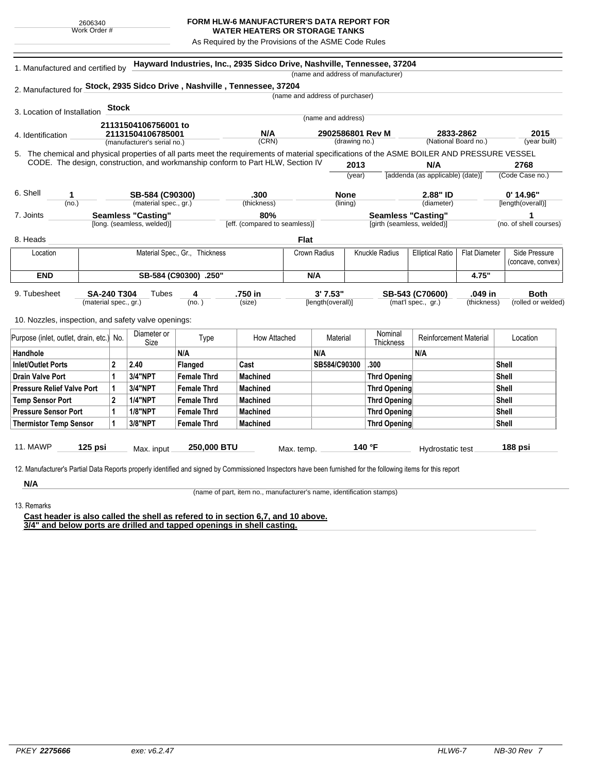## **FORM HLW-6 MANUFACTURER'S DATA REPORT FOR**

**WATER HEATERS OR STORAGE TANKS** As Required by the Provisions of the ASME Code Rules

| (name and address of manufacturer)<br>2. Manufactured for Stock, 2935 Sidco Drive, Nashville, Tennessee, 37204<br>(name and address of purchaser)<br><b>Stock</b><br>3. Location of Installation<br>(name and address)<br>21131504106756001 to<br>N/A<br>2833-2862<br>2902586801 Rev M<br>21131504106785001<br>4. Identification<br>(CRN)<br>(National Board no.)<br>(year built)<br>(drawing no.)<br>(manufacturer's serial no.)<br>5. The chemical and physical properties of all parts meet the requirements of material specifications of the ASME BOILER AND PRESSURE VESSEL<br>CODE. The design, construction, and workmanship conform to Part HLW, Section IV<br>2768<br>2013<br>N/A<br>(Code Case no.)<br>[addenda (as applicable) (date)]<br>(year)<br>6. Shell<br>2.88" ID<br>$0'$ 14.96"<br>SB-584 (C90300)<br>.300<br><b>None</b><br>1<br>(no.)<br>(material spec., gr.)<br>(thickness)<br>(lining)<br>(diameter)<br>[length(overall)]<br><b>Seamless "Casting"</b><br>80%<br><b>Seamless "Casting"</b><br>7. Joints<br>[long. (seamless, welded)]<br>[eff. (compared to seamless)]<br>[girth (seamless, welded)]<br>(no. of shell courses)<br><b>Flat</b><br>8. Heads<br>Side Pressure<br>Material Spec., Gr., Thickness<br>Crown Radius<br>Knuckle Radius<br><b>Elliptical Ratio</b><br><b>Flat Diameter</b><br>Location<br>(concave, convex)<br><b>END</b><br>SB-584 (C90300) .250"<br>4.75"<br>N/A<br>9. Tubesheet<br><b>SA-240 T304</b><br>.750 in<br>3'7.53"<br>SB-543 (C70600)<br>.049 in<br><b>Both</b><br>Tubes<br>4<br>(material spec., gr.)<br>(no.)<br>(size)<br>[length(overall)]<br>(mat'l spec., gr.)<br>(thickness)<br>(rolled or welded)<br>10. Nozzles, inspection, and safety valve openings:<br>Nominal<br>Diameter or<br>Reinforcement Material<br>Purpose (inlet, outlet, drain, etc.) No.<br>Type<br>How Attached<br>Material<br>Location<br>Size<br>Thickness<br>N/A<br>N/A<br>N/A<br>Handhole<br>Cast<br>SB584/C90300<br>.300<br>Inlet/Outlet Ports<br>$\mathbf{2}$<br>2.40<br>Flanged<br>Shell<br>1<br><b>3/4"NPT</b><br><b>Drain Valve Port</b><br><b>Female Thrd</b><br><b>Machined</b><br><b>Thrd Opening</b><br>Shell<br><b>3/4"NPT</b><br><b>Machined</b><br>Shell<br><b>Pressure Relief Valve Port</b><br><b>Female Thrd</b><br><b>Thrd Opening</b><br>1<br><b>1/4"NPT</b><br>$\mathbf{2}$<br><b>Female Thrd</b><br><b>Machined</b><br><b>Shell</b><br><b>Temp Sensor Port</b><br><b>Thrd Opening</b><br><b>1/8"NPT</b><br><b>Female Thrd</b><br><b>Machined</b><br><b>Pressure Sensor Port</b><br>1<br><b>Thrd Opening</b><br>Shell<br>3/8"NPT<br><b>Female Thrd</b><br><b>Machined</b><br><b>Thrd Opening</b><br><b>Shell</b><br><b>Thermistor Temp Sensor</b><br>1 | 1. Manufactured and certified by |  |  |  | Hayward Industries, Inc., 2935 Sidco Drive, Nashville, Tennessee, 37204 |  |  |  |  |  |  |  |  |      |
|-------------------------------------------------------------------------------------------------------------------------------------------------------------------------------------------------------------------------------------------------------------------------------------------------------------------------------------------------------------------------------------------------------------------------------------------------------------------------------------------------------------------------------------------------------------------------------------------------------------------------------------------------------------------------------------------------------------------------------------------------------------------------------------------------------------------------------------------------------------------------------------------------------------------------------------------------------------------------------------------------------------------------------------------------------------------------------------------------------------------------------------------------------------------------------------------------------------------------------------------------------------------------------------------------------------------------------------------------------------------------------------------------------------------------------------------------------------------------------------------------------------------------------------------------------------------------------------------------------------------------------------------------------------------------------------------------------------------------------------------------------------------------------------------------------------------------------------------------------------------------------------------------------------------------------------------------------------------------------------------------------------------------------------------------------------------------------------------------------------------------------------------------------------------------------------------------------------------------------------------------------------------------------------------------------------------------------------------------------------------------------------------------------------------------------------------------------------------------------------------------------------------------------------------------------------------------------------------------------------------------------------------------------------------------------------------------------------------|----------------------------------|--|--|--|-------------------------------------------------------------------------|--|--|--|--|--|--|--|--|------|
|                                                                                                                                                                                                                                                                                                                                                                                                                                                                                                                                                                                                                                                                                                                                                                                                                                                                                                                                                                                                                                                                                                                                                                                                                                                                                                                                                                                                                                                                                                                                                                                                                                                                                                                                                                                                                                                                                                                                                                                                                                                                                                                                                                                                                                                                                                                                                                                                                                                                                                                                                                                                                                                                                                                   |                                  |  |  |  |                                                                         |  |  |  |  |  |  |  |  |      |
|                                                                                                                                                                                                                                                                                                                                                                                                                                                                                                                                                                                                                                                                                                                                                                                                                                                                                                                                                                                                                                                                                                                                                                                                                                                                                                                                                                                                                                                                                                                                                                                                                                                                                                                                                                                                                                                                                                                                                                                                                                                                                                                                                                                                                                                                                                                                                                                                                                                                                                                                                                                                                                                                                                                   |                                  |  |  |  |                                                                         |  |  |  |  |  |  |  |  |      |
|                                                                                                                                                                                                                                                                                                                                                                                                                                                                                                                                                                                                                                                                                                                                                                                                                                                                                                                                                                                                                                                                                                                                                                                                                                                                                                                                                                                                                                                                                                                                                                                                                                                                                                                                                                                                                                                                                                                                                                                                                                                                                                                                                                                                                                                                                                                                                                                                                                                                                                                                                                                                                                                                                                                   |                                  |  |  |  |                                                                         |  |  |  |  |  |  |  |  |      |
|                                                                                                                                                                                                                                                                                                                                                                                                                                                                                                                                                                                                                                                                                                                                                                                                                                                                                                                                                                                                                                                                                                                                                                                                                                                                                                                                                                                                                                                                                                                                                                                                                                                                                                                                                                                                                                                                                                                                                                                                                                                                                                                                                                                                                                                                                                                                                                                                                                                                                                                                                                                                                                                                                                                   |                                  |  |  |  |                                                                         |  |  |  |  |  |  |  |  |      |
|                                                                                                                                                                                                                                                                                                                                                                                                                                                                                                                                                                                                                                                                                                                                                                                                                                                                                                                                                                                                                                                                                                                                                                                                                                                                                                                                                                                                                                                                                                                                                                                                                                                                                                                                                                                                                                                                                                                                                                                                                                                                                                                                                                                                                                                                                                                                                                                                                                                                                                                                                                                                                                                                                                                   |                                  |  |  |  |                                                                         |  |  |  |  |  |  |  |  |      |
|                                                                                                                                                                                                                                                                                                                                                                                                                                                                                                                                                                                                                                                                                                                                                                                                                                                                                                                                                                                                                                                                                                                                                                                                                                                                                                                                                                                                                                                                                                                                                                                                                                                                                                                                                                                                                                                                                                                                                                                                                                                                                                                                                                                                                                                                                                                                                                                                                                                                                                                                                                                                                                                                                                                   |                                  |  |  |  |                                                                         |  |  |  |  |  |  |  |  | 2015 |
|                                                                                                                                                                                                                                                                                                                                                                                                                                                                                                                                                                                                                                                                                                                                                                                                                                                                                                                                                                                                                                                                                                                                                                                                                                                                                                                                                                                                                                                                                                                                                                                                                                                                                                                                                                                                                                                                                                                                                                                                                                                                                                                                                                                                                                                                                                                                                                                                                                                                                                                                                                                                                                                                                                                   |                                  |  |  |  |                                                                         |  |  |  |  |  |  |  |  |      |
|                                                                                                                                                                                                                                                                                                                                                                                                                                                                                                                                                                                                                                                                                                                                                                                                                                                                                                                                                                                                                                                                                                                                                                                                                                                                                                                                                                                                                                                                                                                                                                                                                                                                                                                                                                                                                                                                                                                                                                                                                                                                                                                                                                                                                                                                                                                                                                                                                                                                                                                                                                                                                                                                                                                   |                                  |  |  |  |                                                                         |  |  |  |  |  |  |  |  |      |
|                                                                                                                                                                                                                                                                                                                                                                                                                                                                                                                                                                                                                                                                                                                                                                                                                                                                                                                                                                                                                                                                                                                                                                                                                                                                                                                                                                                                                                                                                                                                                                                                                                                                                                                                                                                                                                                                                                                                                                                                                                                                                                                                                                                                                                                                                                                                                                                                                                                                                                                                                                                                                                                                                                                   |                                  |  |  |  |                                                                         |  |  |  |  |  |  |  |  |      |
|                                                                                                                                                                                                                                                                                                                                                                                                                                                                                                                                                                                                                                                                                                                                                                                                                                                                                                                                                                                                                                                                                                                                                                                                                                                                                                                                                                                                                                                                                                                                                                                                                                                                                                                                                                                                                                                                                                                                                                                                                                                                                                                                                                                                                                                                                                                                                                                                                                                                                                                                                                                                                                                                                                                   |                                  |  |  |  |                                                                         |  |  |  |  |  |  |  |  |      |
|                                                                                                                                                                                                                                                                                                                                                                                                                                                                                                                                                                                                                                                                                                                                                                                                                                                                                                                                                                                                                                                                                                                                                                                                                                                                                                                                                                                                                                                                                                                                                                                                                                                                                                                                                                                                                                                                                                                                                                                                                                                                                                                                                                                                                                                                                                                                                                                                                                                                                                                                                                                                                                                                                                                   |                                  |  |  |  |                                                                         |  |  |  |  |  |  |  |  |      |
|                                                                                                                                                                                                                                                                                                                                                                                                                                                                                                                                                                                                                                                                                                                                                                                                                                                                                                                                                                                                                                                                                                                                                                                                                                                                                                                                                                                                                                                                                                                                                                                                                                                                                                                                                                                                                                                                                                                                                                                                                                                                                                                                                                                                                                                                                                                                                                                                                                                                                                                                                                                                                                                                                                                   |                                  |  |  |  |                                                                         |  |  |  |  |  |  |  |  |      |
|                                                                                                                                                                                                                                                                                                                                                                                                                                                                                                                                                                                                                                                                                                                                                                                                                                                                                                                                                                                                                                                                                                                                                                                                                                                                                                                                                                                                                                                                                                                                                                                                                                                                                                                                                                                                                                                                                                                                                                                                                                                                                                                                                                                                                                                                                                                                                                                                                                                                                                                                                                                                                                                                                                                   |                                  |  |  |  |                                                                         |  |  |  |  |  |  |  |  |      |
|                                                                                                                                                                                                                                                                                                                                                                                                                                                                                                                                                                                                                                                                                                                                                                                                                                                                                                                                                                                                                                                                                                                                                                                                                                                                                                                                                                                                                                                                                                                                                                                                                                                                                                                                                                                                                                                                                                                                                                                                                                                                                                                                                                                                                                                                                                                                                                                                                                                                                                                                                                                                                                                                                                                   |                                  |  |  |  |                                                                         |  |  |  |  |  |  |  |  |      |
|                                                                                                                                                                                                                                                                                                                                                                                                                                                                                                                                                                                                                                                                                                                                                                                                                                                                                                                                                                                                                                                                                                                                                                                                                                                                                                                                                                                                                                                                                                                                                                                                                                                                                                                                                                                                                                                                                                                                                                                                                                                                                                                                                                                                                                                                                                                                                                                                                                                                                                                                                                                                                                                                                                                   |                                  |  |  |  |                                                                         |  |  |  |  |  |  |  |  |      |
|                                                                                                                                                                                                                                                                                                                                                                                                                                                                                                                                                                                                                                                                                                                                                                                                                                                                                                                                                                                                                                                                                                                                                                                                                                                                                                                                                                                                                                                                                                                                                                                                                                                                                                                                                                                                                                                                                                                                                                                                                                                                                                                                                                                                                                                                                                                                                                                                                                                                                                                                                                                                                                                                                                                   |                                  |  |  |  |                                                                         |  |  |  |  |  |  |  |  |      |
|                                                                                                                                                                                                                                                                                                                                                                                                                                                                                                                                                                                                                                                                                                                                                                                                                                                                                                                                                                                                                                                                                                                                                                                                                                                                                                                                                                                                                                                                                                                                                                                                                                                                                                                                                                                                                                                                                                                                                                                                                                                                                                                                                                                                                                                                                                                                                                                                                                                                                                                                                                                                                                                                                                                   |                                  |  |  |  |                                                                         |  |  |  |  |  |  |  |  |      |
|                                                                                                                                                                                                                                                                                                                                                                                                                                                                                                                                                                                                                                                                                                                                                                                                                                                                                                                                                                                                                                                                                                                                                                                                                                                                                                                                                                                                                                                                                                                                                                                                                                                                                                                                                                                                                                                                                                                                                                                                                                                                                                                                                                                                                                                                                                                                                                                                                                                                                                                                                                                                                                                                                                                   |                                  |  |  |  |                                                                         |  |  |  |  |  |  |  |  |      |
|                                                                                                                                                                                                                                                                                                                                                                                                                                                                                                                                                                                                                                                                                                                                                                                                                                                                                                                                                                                                                                                                                                                                                                                                                                                                                                                                                                                                                                                                                                                                                                                                                                                                                                                                                                                                                                                                                                                                                                                                                                                                                                                                                                                                                                                                                                                                                                                                                                                                                                                                                                                                                                                                                                                   |                                  |  |  |  |                                                                         |  |  |  |  |  |  |  |  |      |
|                                                                                                                                                                                                                                                                                                                                                                                                                                                                                                                                                                                                                                                                                                                                                                                                                                                                                                                                                                                                                                                                                                                                                                                                                                                                                                                                                                                                                                                                                                                                                                                                                                                                                                                                                                                                                                                                                                                                                                                                                                                                                                                                                                                                                                                                                                                                                                                                                                                                                                                                                                                                                                                                                                                   |                                  |  |  |  |                                                                         |  |  |  |  |  |  |  |  |      |
|                                                                                                                                                                                                                                                                                                                                                                                                                                                                                                                                                                                                                                                                                                                                                                                                                                                                                                                                                                                                                                                                                                                                                                                                                                                                                                                                                                                                                                                                                                                                                                                                                                                                                                                                                                                                                                                                                                                                                                                                                                                                                                                                                                                                                                                                                                                                                                                                                                                                                                                                                                                                                                                                                                                   |                                  |  |  |  |                                                                         |  |  |  |  |  |  |  |  |      |
|                                                                                                                                                                                                                                                                                                                                                                                                                                                                                                                                                                                                                                                                                                                                                                                                                                                                                                                                                                                                                                                                                                                                                                                                                                                                                                                                                                                                                                                                                                                                                                                                                                                                                                                                                                                                                                                                                                                                                                                                                                                                                                                                                                                                                                                                                                                                                                                                                                                                                                                                                                                                                                                                                                                   |                                  |  |  |  |                                                                         |  |  |  |  |  |  |  |  |      |
|                                                                                                                                                                                                                                                                                                                                                                                                                                                                                                                                                                                                                                                                                                                                                                                                                                                                                                                                                                                                                                                                                                                                                                                                                                                                                                                                                                                                                                                                                                                                                                                                                                                                                                                                                                                                                                                                                                                                                                                                                                                                                                                                                                                                                                                                                                                                                                                                                                                                                                                                                                                                                                                                                                                   |                                  |  |  |  |                                                                         |  |  |  |  |  |  |  |  |      |
|                                                                                                                                                                                                                                                                                                                                                                                                                                                                                                                                                                                                                                                                                                                                                                                                                                                                                                                                                                                                                                                                                                                                                                                                                                                                                                                                                                                                                                                                                                                                                                                                                                                                                                                                                                                                                                                                                                                                                                                                                                                                                                                                                                                                                                                                                                                                                                                                                                                                                                                                                                                                                                                                                                                   |                                  |  |  |  |                                                                         |  |  |  |  |  |  |  |  |      |
|                                                                                                                                                                                                                                                                                                                                                                                                                                                                                                                                                                                                                                                                                                                                                                                                                                                                                                                                                                                                                                                                                                                                                                                                                                                                                                                                                                                                                                                                                                                                                                                                                                                                                                                                                                                                                                                                                                                                                                                                                                                                                                                                                                                                                                                                                                                                                                                                                                                                                                                                                                                                                                                                                                                   |                                  |  |  |  |                                                                         |  |  |  |  |  |  |  |  |      |
|                                                                                                                                                                                                                                                                                                                                                                                                                                                                                                                                                                                                                                                                                                                                                                                                                                                                                                                                                                                                                                                                                                                                                                                                                                                                                                                                                                                                                                                                                                                                                                                                                                                                                                                                                                                                                                                                                                                                                                                                                                                                                                                                                                                                                                                                                                                                                                                                                                                                                                                                                                                                                                                                                                                   |                                  |  |  |  |                                                                         |  |  |  |  |  |  |  |  |      |
|                                                                                                                                                                                                                                                                                                                                                                                                                                                                                                                                                                                                                                                                                                                                                                                                                                                                                                                                                                                                                                                                                                                                                                                                                                                                                                                                                                                                                                                                                                                                                                                                                                                                                                                                                                                                                                                                                                                                                                                                                                                                                                                                                                                                                                                                                                                                                                                                                                                                                                                                                                                                                                                                                                                   |                                  |  |  |  |                                                                         |  |  |  |  |  |  |  |  |      |
|                                                                                                                                                                                                                                                                                                                                                                                                                                                                                                                                                                                                                                                                                                                                                                                                                                                                                                                                                                                                                                                                                                                                                                                                                                                                                                                                                                                                                                                                                                                                                                                                                                                                                                                                                                                                                                                                                                                                                                                                                                                                                                                                                                                                                                                                                                                                                                                                                                                                                                                                                                                                                                                                                                                   |                                  |  |  |  |                                                                         |  |  |  |  |  |  |  |  |      |
|                                                                                                                                                                                                                                                                                                                                                                                                                                                                                                                                                                                                                                                                                                                                                                                                                                                                                                                                                                                                                                                                                                                                                                                                                                                                                                                                                                                                                                                                                                                                                                                                                                                                                                                                                                                                                                                                                                                                                                                                                                                                                                                                                                                                                                                                                                                                                                                                                                                                                                                                                                                                                                                                                                                   |                                  |  |  |  |                                                                         |  |  |  |  |  |  |  |  |      |
|                                                                                                                                                                                                                                                                                                                                                                                                                                                                                                                                                                                                                                                                                                                                                                                                                                                                                                                                                                                                                                                                                                                                                                                                                                                                                                                                                                                                                                                                                                                                                                                                                                                                                                                                                                                                                                                                                                                                                                                                                                                                                                                                                                                                                                                                                                                                                                                                                                                                                                                                                                                                                                                                                                                   |                                  |  |  |  |                                                                         |  |  |  |  |  |  |  |  |      |
|                                                                                                                                                                                                                                                                                                                                                                                                                                                                                                                                                                                                                                                                                                                                                                                                                                                                                                                                                                                                                                                                                                                                                                                                                                                                                                                                                                                                                                                                                                                                                                                                                                                                                                                                                                                                                                                                                                                                                                                                                                                                                                                                                                                                                                                                                                                                                                                                                                                                                                                                                                                                                                                                                                                   |                                  |  |  |  |                                                                         |  |  |  |  |  |  |  |  |      |
| <b>11. MAWP</b><br>125 psi<br>250,000 BTU<br>140 °F<br>188 psi<br>Max. input<br>Max. temp.<br>Hydrostatic test                                                                                                                                                                                                                                                                                                                                                                                                                                                                                                                                                                                                                                                                                                                                                                                                                                                                                                                                                                                                                                                                                                                                                                                                                                                                                                                                                                                                                                                                                                                                                                                                                                                                                                                                                                                                                                                                                                                                                                                                                                                                                                                                                                                                                                                                                                                                                                                                                                                                                                                                                                                                    |                                  |  |  |  |                                                                         |  |  |  |  |  |  |  |  |      |

**N/A** 13. Remarks

(name of part, item no., manufacturer's name, identification stamps)

**Cast header is also called the shell as refered to in section 6,7, and 10 above. 3/4" and below ports are drilled and tapped openings in shell casting.**